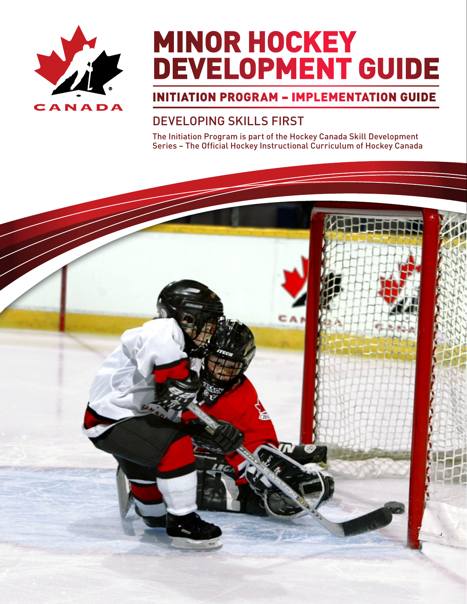

# **MINOR HOCKEY** Development Guide

# Initiation Program – Implementation Guide

# Developing Skills First

The Initiation Program is part of the Hockey Canada Skill Development Series – The Official Hockey Instructional Curriculum of Hockey Canada

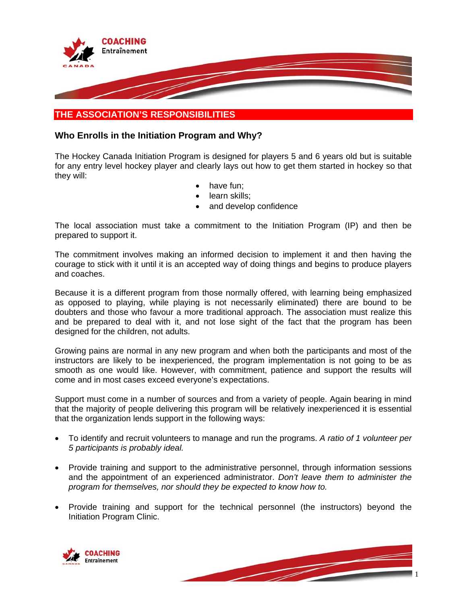

# **THE ASSOCIATION'S RESPONSIBILITIES**

# **Who Enrolls in the Initiation Program and Why?**

The Hockey Canada Initiation Program is designed for players 5 and 6 years old but is suitable for any entry level hockey player and clearly lays out how to get them started in hockey so that they will:

- have fun;
- learn skills;
- and develop confidence

The local association must take a commitment to the Initiation Program (IP) and then be prepared to support it.

The commitment involves making an informed decision to implement it and then having the courage to stick with it until it is an accepted way of doing things and begins to produce players and coaches.

Because it is a different program from those normally offered, with learning being emphasized as opposed to playing, while playing is not necessarily eliminated) there are bound to be doubters and those who favour a more traditional approach. The association must realize this and be prepared to deal with it, and not lose sight of the fact that the program has been designed for the children, not adults.

Growing pains are normal in any new program and when both the participants and most of the instructors are likely to be inexperienced, the program implementation is not going to be as smooth as one would like. However, with commitment, patience and support the results will come and in most cases exceed everyone's expectations.

Support must come in a number of sources and from a variety of people. Again bearing in mind that the majority of people delivering this program will be relatively inexperienced it is essential that the organization lends support in the following ways:

- To identify and recruit volunteers to manage and run the programs. *A ratio of 1 volunteer per 5 participants is probably ideal.*
- Provide training and support to the administrative personnel, through information sessions and the appointment of an experienced administrator. *Don't leave them to administer the program for themselves, nor should they be expected to know how to.*
- Provide training and support for the technical personnel (the instructors) beyond the Initiation Program Clinic.



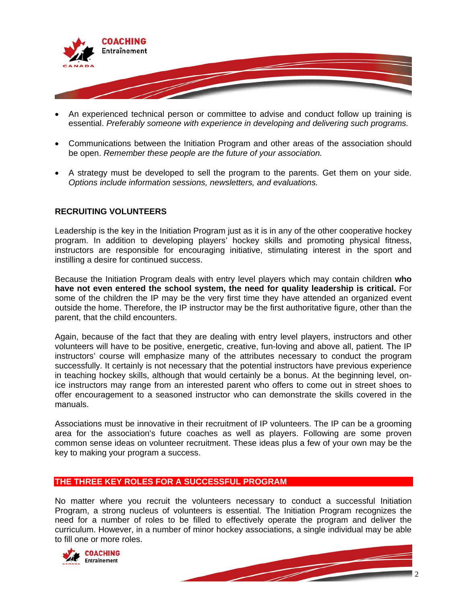

- An experienced technical person or committee to advise and conduct follow up training is essential. *Preferably someone with experience in developing and delivering such programs.*
- Communications between the Initiation Program and other areas of the association should be open. *Remember these people are the future of your association.*
- A strategy must be developed to sell the program to the parents. Get them on your side. *Options include information sessions, newsletters, and evaluations.*

# **RECRUITING VOLUNTEERS**

Leadership is the key in the Initiation Program just as it is in any of the other cooperative hockey program. In addition to developing players' hockey skills and promoting physical fitness, instructors are responsible for encouraging initiative, stimulating interest in the sport and instilling a desire for continued success.

Because the Initiation Program deals with entry level players which may contain children **who have not even entered the school system, the need for quality leadership is critical.** For some of the children the IP may be the very first time they have attended an organized event outside the home. Therefore, the IP instructor may be the first authoritative figure, other than the parent, that the child encounters.

Again, because of the fact that they are dealing with entry level players, instructors and other volunteers will have to be positive, energetic, creative, fun-loving and above all, patient. The IP instructors' course will emphasize many of the attributes necessary to conduct the program successfully. It certainly is not necessary that the potential instructors have previous experience in teaching hockey skills, although that would certainly be a bonus. At the beginning level, onice instructors may range from an interested parent who offers to come out in street shoes to offer encouragement to a seasoned instructor who can demonstrate the skills covered in the manuals.

Associations must be innovative in their recruitment of IP volunteers. The IP can be a grooming area for the association's future coaches as well as players. Following are some proven common sense ideas on volunteer recruitment. These ideas plus a few of your own may be the key to making your program a success.

# **THE THREE KEY ROLES FOR A SUCCESSFUL PROGRAM**

No matter where you recruit the volunteers necessary to conduct a successful Initiation Program, a strong nucleus of volunteers is essential. The Initiation Program recognizes the need for a number of roles to be filled to effectively operate the program and deliver the curriculum. However, in a number of minor hockey associations, a single individual may be able to fill one or more roles.



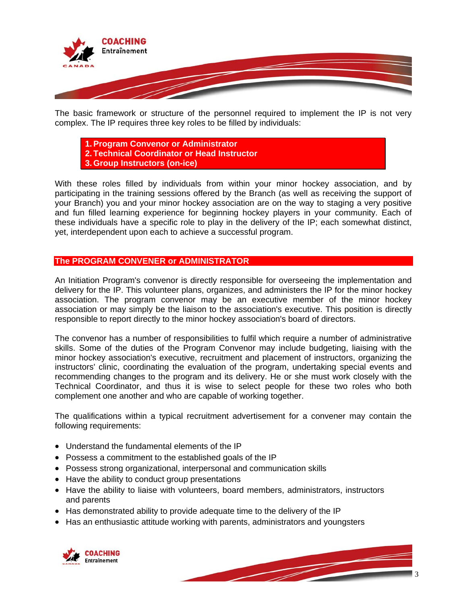

The basic framework or structure of the personnel required to implement the IP is not very complex. The IP requires three key roles to be filled by individuals:

**1. Program Convenor or Administrator 2. Technical Coordinator or Head Instructor 3. Group Instructors (on-ice)** 

With these roles filled by individuals from within your minor hockey association, and by participating in the training sessions offered by the Branch (as well as receiving the support of your Branch) you and your minor hockey association are on the way to staging a very positive and fun filled learning experience for beginning hockey players in your community. Each of these individuals have a specific role to play in the delivery of the IP; each somewhat distinct, yet, interdependent upon each to achieve a successful program.

# **The PROGRAM CONVENER or ADMINISTRATOR**

An Initiation Program's convenor is directly responsible for overseeing the implementation and delivery for the IP. This volunteer plans, organizes, and administers the IP for the minor hockey association. The program convenor may be an executive member of the minor hockey association or may simply be the liaison to the association's executive. This position is directly responsible to report directly to the minor hockey association's board of directors.

The convenor has a number of responsibilities to fulfil which require a number of administrative skills. Some of the duties of the Program Convenor may include budgeting, liaising with the minor hockey association's executive, recruitment and placement of instructors, organizing the instructors' clinic, coordinating the evaluation of the program, undertaking special events and recommending changes to the program and its delivery. He or she must work closely with the Technical Coordinator, and thus it is wise to select people for these two roles who both complement one another and who are capable of working together.

The qualifications within a typical recruitment advertisement for a convener may contain the following requirements:

- Understand the fundamental elements of the IP
- Possess a commitment to the established goals of the IP
- Possess strong organizational, interpersonal and communication skills
- Have the ability to conduct group presentations
- Have the ability to liaise with volunteers, board members, administrators, instructors and parents
- Has demonstrated ability to provide adequate time to the delivery of the IP
- Has an enthusiastic attitude working with parents, administrators and youngsters

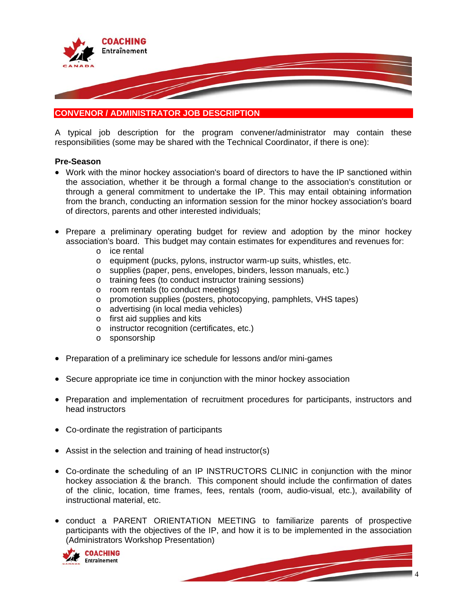

# **CONVENOR / ADMINISTRATOR JOB DESCRIPTION**

A typical job description for the program convener/administrator may contain these responsibilities (some may be shared with the Technical Coordinator, if there is one):

#### **Pre-Season**

- Work with the minor hockey association's board of directors to have the IP sanctioned within the association, whether it be through a formal change to the association's constitution or through a general commitment to undertake the IP. This may entail obtaining information from the branch, conducting an information session for the minor hockey association's board of directors, parents and other interested individuals;
- Prepare a preliminary operating budget for review and adoption by the minor hockey association's board. This budget may contain estimates for expenditures and revenues for:
	- o ice rental
	- o equipment (pucks, pylons, instructor warm-up suits, whistles, etc.
	- o supplies (paper, pens, envelopes, binders, lesson manuals, etc.)
	- o training fees (to conduct instructor training sessions)
	- o room rentals (to conduct meetings)
	- o promotion supplies (posters, photocopying, pamphlets, VHS tapes)
	- o advertising (in local media vehicles)
	- o first aid supplies and kits
	- o instructor recognition (certificates, etc.)
	- o sponsorship
- Preparation of a preliminary ice schedule for lessons and/or mini-games
- Secure appropriate ice time in conjunction with the minor hockey association
- Preparation and implementation of recruitment procedures for participants, instructors and head instructors
- Co-ordinate the registration of participants
- Assist in the selection and training of head instructor(s)
- Co-ordinate the scheduling of an IP INSTRUCTORS CLINIC in conjunction with the minor hockey association & the branch. This component should include the confirmation of dates of the clinic, location, time frames, fees, rentals (room, audio-visual, etc.), availability of instructional material, etc.
- conduct a PARENT ORIENTATION MEETING to familiarize parents of prospective participants with the objectives of the IP, and how it is to be implemented in the association (Administrators Workshop Presentation)

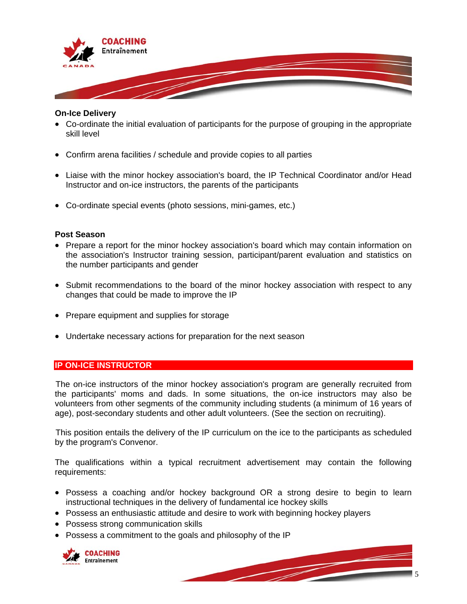

#### **On-Ice Delivery**

- Co-ordinate the initial evaluation of participants for the purpose of grouping in the appropriate skill level
- Confirm arena facilities / schedule and provide copies to all parties
- Liaise with the minor hockey association's board, the IP Technical Coordinator and/or Head Instructor and on-ice instructors, the parents of the participants
- Co-ordinate special events (photo sessions, mini-games, etc.) •

#### **Post Season**

- Prepare a report for the minor hockey association's board which may contain information on the association's Instructor training session, participant/parent evaluation and statistics on the number participants and gender
- Submit recommendations to the board of the minor hockey association with respect to any changes that could be made to improve the IP
- Prepare equipment and supplies for storage
- Undertake necessary actions for preparation for the next season •

# **IP ON-ICE INSTRUCTOR**

The on-ice instructors of the minor hockey association's program are generally recruited from the participants' moms and dads. In some situations, the on-ice instructors may also be volunteers from other segments of the community including students (a minimum of 16 years of age), post-secondary students and other adult volunteers. (See the section on recruiting).

This position entails the delivery of the IP curriculum on the ice to the participants as scheduled by the program's Convenor.

The qualifications within a typical recruitment advertisement may contain the following requirements:

- Possess a coaching and/or hockey background OR a strong desire to begin to learn instructional techniques in the delivery of fundamental ice hockey skills
- Possess an enthusiastic attitude and desire to work with beginning hockey players
- Possess strong communication skills •
- Possess a commitment to the goals and philosophy of the IP

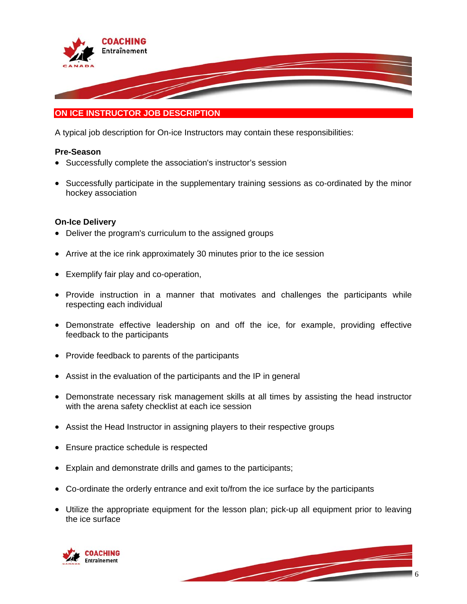

# **ON ICE INSTRUCTOR JOB DESCRIPTION**

A typical job description for On-ice Instructors may contain these responsibilities:

#### **re-Season P**

- Successfully complete the association's instructor's session
- Successfully participate in the supplementary training sessions as co-ordinated by the minor hockey association •

#### **n-Ice Delivery O**

- Deliver the program's curriculum to the assigned groups
- Arrive at the ice rink approximately 30 minutes prior to the ice session
- Exemplify fair play and co-operation,
- Provide instruction in a manner that motivates and challenges the participants while respecting each individual
- Demonstrate effective leadership on and off the ice, for example, providing effective feedback to the participants
- Provide feedback to parents of the participants
- Assist in the evaluation of the participants and the IP in general
- Demonstrate necessary risk management skills at all times by assisting the head instructor with the arena safety checklist at each ice session
- Assist the Head Instructor in assigning players to their respective groups
- Ensure practice schedule is respected •
- Explain and demonstrate drills and games to the participants; •
- Co-ordinate the orderly entrance and exit to/from the ice surface by the participants
- Utilize the appropriate equipment for the lesson plan; pick-up all equipment prior to leaving the ice surface



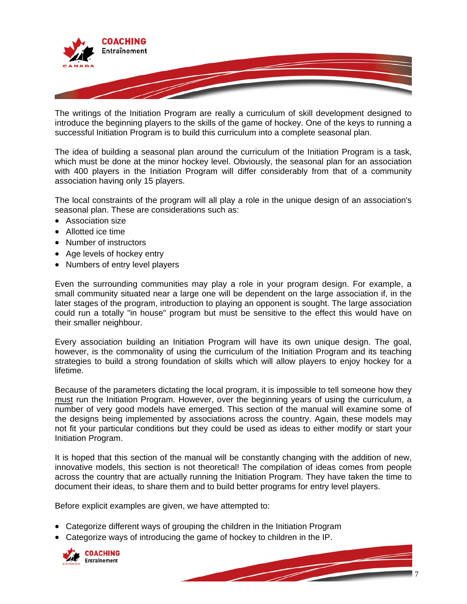

The writings of the Initiation Program are really a curriculum of skill development designed to introduce the beginning players to the skills of the game of hockey. One of the keys to running a successful Initiation Program is to build this curriculum into a complete seasonal plan.

with 400 players in the Initiation Program will differ considerably from that of a community association having only 15 players. The idea of building a seasonal plan around the curriculum of the Initiation Program is a task, which must be done at the minor hockey level. Obviously, the seasonal plan for an association

The local constraints of the program will all play a role in the unique design of an association's seasonal plan. These are considerations such as:

- Association size
- Allotted ice time
- Number of instructors
- Age levels of hockey entry
- Numbers of entry level players

could run a totally "in house" program but must be sensitive to the effect this would have on Even the surrounding communities may play a role in your program design. For example, a small community situated near a large one will be dependent on the large association if, in the later stages of the program, introduction to playing an opponent is sought. The large association their smaller neighbour.

strategies to build a strong foundation of skills which will allow players to enjoy hockey for a Every association building an Initiation Program will have its own unique design. The goal, however, is the commonality of using the curriculum of the Initiation Program and its teaching lifetime.

Because of the parameters dictating the local program, it is impossible to tell someone how they must run the Initiation Program. However, over the beginning years of using the curriculum, a number of very good models have emerged. This section of the manual will examine some of the designs being implemented by associations across the country. Again, these models may not fit your particular conditions but they could be used as ideas to either modify or start your In itiation Program.

across the country that are actually running the Initiation Program. They have taken the time to document their ideas, to share them and to build better programs for entry level players. It is hoped that this section of the manual will be constantly changing with the addition of new, innovative models, this section is not theoretical! The compilation of ideas comes from people

Before explicit examples are given, we have attempted to:

- Categorize different ways of grouping the children in the Initiation Program
- Categorize ways of introducing the game of hockey to children in the IP.



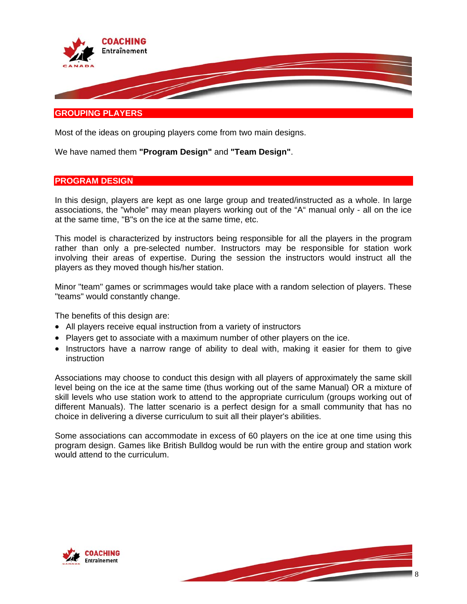

#### **GROUPING PLAYERS**

Most of the ideas on grouping players come from two main designs.

We have named them **"Program Design"** and **"Team Design"**.

#### **PROGRAM DESIGN**

In this design, players are kept as one large group and treated/instructed as a whole. In large associations, the "whole" may mean players working out of the "A" manual only - all on the ice at the same time, "B"s on the ice at the same time, etc.

rather than only a pre-selected number. Instructors may be responsible for station work involving their areas of expertise. During the session the instructors would instruct all the This model is characterized by instructors being responsible for all the players in the program players as they moved though his/her station.

Minor "team" games or scrimmages would take place with a random selection of players. These "teams" would constantly change.

The benefits of this design are:

- All players receive equal instruction from a variety of instructors
- Players get to associate with a maximum number of other players on the ice.
- Instructors have a narrow range of ability to deal with, making it easier for them to give instruction

skill levels who use station work to attend to the appropriate curriculum (groups working out of Associations may choose to conduct this design with all players of approximately the same skill level being on the ice at the same time (thus working out of the same Manual) OR a mixture of different Manuals). The latter scenario is a perfect design for a small community that has no choice in delivering a diverse curriculum to suit all their player's abilities.

Some associations can accommodate in excess of 60 players on the ice at one time using this program design. Games like British Bulldog would be run with the entire group and station work would attend to the curriculum.



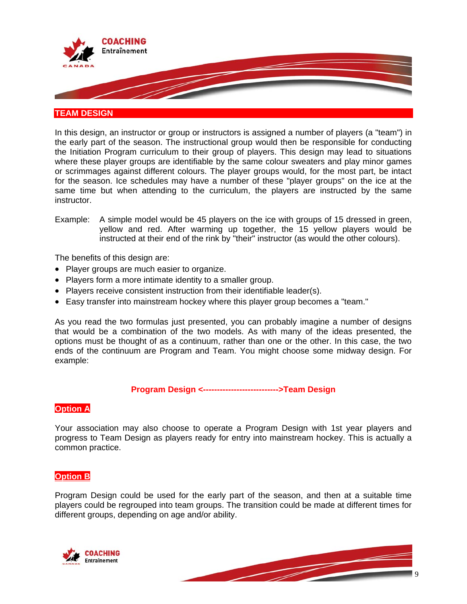

# **TEAM DESIGN**

In this design, an instructor or group or instructors is assigned a number of players (a "team") in the early part of the season. The instructional group would then be responsible for conducting the Initiation Program curriculum to their group of players. This design may lead to situations where these player groups are identifiable by the same colour sweaters and play minor games or scrimmages against different colours. The player groups would, for the most part, be intact for the season. Ice schedules may have a number of these "player groups" on the ice at the same time but when attending to the curriculum, the players are instructed by the same instructor.

Example: A simple model would be 45 players on the ice with groups of 15 dressed in green, yellow and red. After warming up together, the 15 yellow players would be instructed at their end of the rink by "their" instructor (as would the other colours).

The benefits of this design are:

- Player groups are much easier to organize.
- Players form a more intimate identity to a smaller group.
- Players receive consistent instruction from their identifiable leader(s).
- Easy transfer into mainstream hockey where this player group becomes a "team."

options must be thought of as a continuum, rather than one or the other. In this case, the two ends of the continuum are Program and Team. You might choose some midway design. For example: As you read the two formulas just presented, you can probably imagine a number of designs that would be a combination of the two models. As with many of the ideas presented, the

#### **Program Design <--------------------------->Team Design**

#### **Option A**

Your association may also choose to operate a Program Design with 1st year players and rogress to Team Design as players ready for entry into mainstream hockey. This is actually a p common practice.

# **Option B**

Program Design could be used for the early part of the season, and then at a suitable time players could be regrouped into team groups. The transition could be made at different times for different groups, depending on age and/or ability.



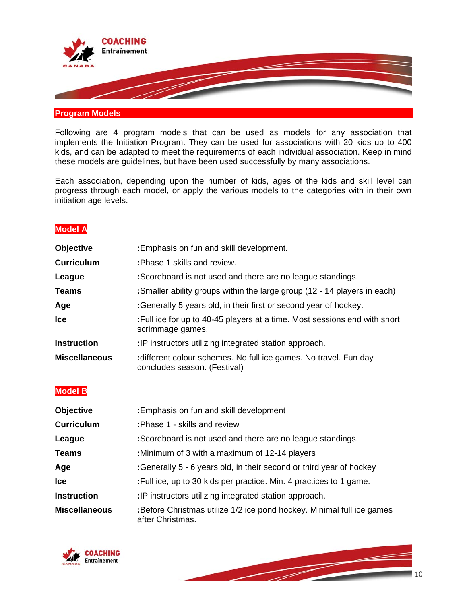

#### **Program Models**

Following are 4 program models that can be used as models for any association that implements the Initiation Program. They can be used for associations with 20 kids up to 400 kids, and can be adapted to meet the requirements of each individual association. Keep in mind these models are guidelines, but have been used successfully by many associations.

Each association, depending upon the number of kids, ages of the kids and skill level can progress through each model, or apply the various models to the categories with in their own initiation age levels.

# **Model A**

| <b>Objective</b>     | : Emphasis on fun and skill development.                                                        |
|----------------------|-------------------------------------------------------------------------------------------------|
| <b>Curriculum</b>    | : Phase 1 skills and review.                                                                    |
| League               | :Scoreboard is not used and there are no league standings.                                      |
| <b>Teams</b>         | : Smaller ability groups within the large group (12 - 14 players in each)                       |
| Age                  | :Generally 5 years old, in their first or second year of hockey.                                |
| lce                  | : Full ice for up to 40-45 players at a time. Most sessions end with short<br>scrimmage games.  |
| <b>Instruction</b>   | :IP instructors utilizing integrated station approach.                                          |
| <b>Miscellaneous</b> | different colour schemes. No full ice games. No travel. Fun day<br>concludes season. (Festival) |
| <b>Model B</b>       |                                                                                                 |
| <b>Objective</b>     | : Emphasis on fun and skill development                                                         |
| <b>Curriculum</b>    | : Phase 1 - skills and review                                                                   |
| League               | :Scoreboard is not used and there are no league standings.                                      |
| <b>Teams</b>         | :Minimum of 3 with a maximum of 12-14 players                                                   |
| Age                  | :Generally 5 - 6 years old, in their second or third year of hockey                             |
| lce                  | : Full ice, up to 30 kids per practice. Min. 4 practices to 1 game.                             |

**Instruction :**IP instructors utilizing integrated station approach.

**:Before Christmas utilize 1/2 ice pond hockey. Minimal full ice games** after Christmas. **Miscellaneous** 



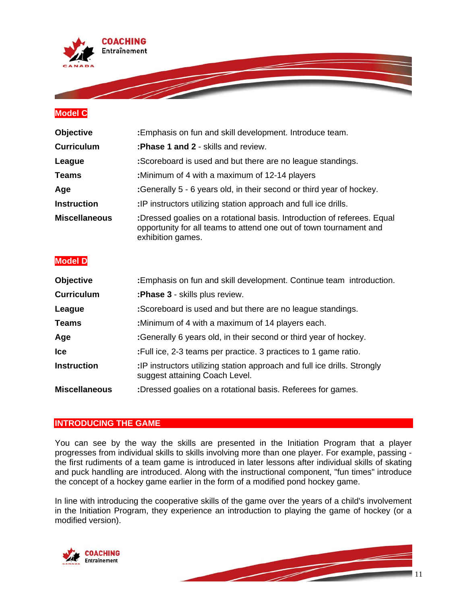

# **Model C**

| <b>Objective</b>     | :Emphasis on fun and skill development. Introduce team.                                                                                                            |
|----------------------|--------------------------------------------------------------------------------------------------------------------------------------------------------------------|
| <b>Curriculum</b>    | : Phase 1 and 2 - skills and review.                                                                                                                               |
| League               | :Scoreboard is used and but there are no league standings.                                                                                                         |
| <b>Teams</b>         | :Minimum of 4 with a maximum of 12-14 players                                                                                                                      |
| Age                  | :Generally 5 - 6 years old, in their second or third year of hockey.                                                                                               |
| <b>Instruction</b>   | :IP instructors utilizing station approach and full ice drills.                                                                                                    |
| <b>Miscellaneous</b> | :Dressed goalies on a rotational basis. Introduction of referees. Equal<br>opportunity for all teams to attend one out of town tournament and<br>exhibition games. |

# **Model D**

| <b>Objective</b>     | : Emphasis on fun and skill development. Continue team introduction.                                       |
|----------------------|------------------------------------------------------------------------------------------------------------|
| <b>Curriculum</b>    | : Phase 3 - skills plus review.                                                                            |
| League               | :Scoreboard is used and but there are no league standings.                                                 |
| <b>Teams</b>         | :Minimum of 4 with a maximum of 14 players each.                                                           |
| Age                  | :Generally 6 years old, in their second or third year of hockey.                                           |
| <b>Ice</b>           | : Full ice, 2-3 teams per practice. 3 practices to 1 game ratio.                                           |
| <b>Instruction</b>   | :IP instructors utilizing station approach and full ice drills. Strongly<br>suggest attaining Coach Level. |
| <b>Miscellaneous</b> | :Dressed goalies on a rotational basis. Referees for games.                                                |

#### **INTRODUCING THE GAME**

You can see by the way the skills are presented in the Initiation Program that a player progresses from individual skills to skills involving more than one player. For example, passing the first rudiments of a team game is introduced in later lessons after individual skills of skating and puck handling are introduced. Along with the instructional component, "fun times" introduce the concept of a hockey game earlier in the form of a modified pond hockey game.

In line with introducing the cooperative skills of the game over the years of a child's involvement in the Initiation Program, they experience an introduction to playing the game of hockey (or a modified version).



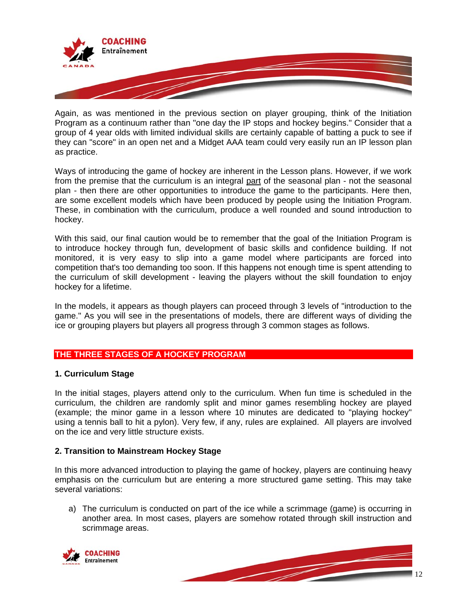

Again, as was mentioned in the previous section on player grouping, think of the Initiation Program as a continuum rather than "one day the IP stops and hockey begins." Consider that a group of 4 year olds with limited individual skills are certainly capable of batting a puck to see if they can "sco re" in an open net and a Midget AAA team could very easily run an IP lesson plan as practice.

Ways of introducing the game of hockey are inherent in the Lesson plans. However, if we work from the premise that the curriculum is an integral part of the seasonal plan - not the seasonal plan - then there are other opportunities to introduce the game to the participants. Here then, are some excellent models which have been produced by people using the Initiation Program. These, in combination with the curriculum, produce a well rounded and sound introduction to hockey.

the curriculum of skill development - leaving the players without the skill foundation to enjoy hockey for a lifetime. With this said, our final caution would be to remember that the goal of the Initiation Program is to introduce hockey through fun, development of basic skills and confidence building. If not monitored, it is very easy to slip into a game model where participants are forced into competition that's too demanding too soon. If this happens not enough time is spent attending to

game." As you will see in the presentations of models, there are different ways of dividing the ice or grouping players but players all progress through 3 common stages as follows. In the models, it appears as though players can proceed through 3 levels of "introduction to the

# **THE THREE STAGES OF A HOCKEY PROGRAM**

#### **. Curriculum Stage 1**

using a tennis ball to hit a pylon). Very few, if any, rules are explained. All players are involved on the ice and very little structure exists. In the initial stages, players attend only to the curriculum. When fun time is scheduled in the curriculum, the children are randomly split and minor games resembling hockey are played (example; the minor game in a lesson where 10 minutes are dedicated to "playing hockey"

#### **. Transition to Mainstream Hockey Stage 2**

emphasis on the curriculum but are entering a more structured game setting. This may take several variations: In this more advanced introduction to playing the game of hockey, players are continuing heavy

a) The curriculum is conducted on part of the ice while a scrimmage (game) is occurring in another area. In most cases, players are somehow rotated through skill instruction and scrimmage areas.



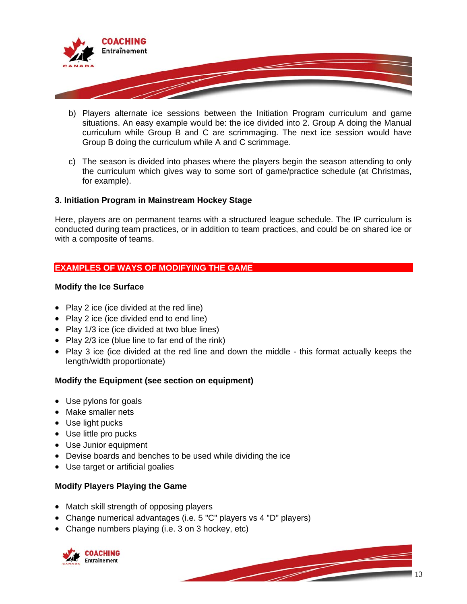

- b) Players alternate ice sessions between the Initiation Program curriculum and game situations. An easy example would be: the ice divided into 2. Group A doing the Manual curriculum while Group B and C are scrimmaging. The next ice session would have Group B doing the curriculum while A and C scrimmage.
- c) The season is divided into phases where the players begin the season attending to only the curriculum which gives way to some sort of game/practice schedule (at Christmas, for example).

# **. Initiation Program in Mainstream Hockey Stage 3**

conducted during team practices, or in addition to team practices, and could be on shared ice or with a composite of teams. Here, players are on permanent teams with a structured league schedule. The IP curriculum is

# **EXAMPLES OF WAYS OF MODIFYING THE GAME**

#### **Modify the Ice Surface**

- Play 2 ice (ice divided at the red line)
- Play 2 ice (ice divided end to end line)
- Play 1/3 ice (ice divided at two blue lines)
- Play 2/3 ice (blue line to far end of the rink)
- Play 3 ice (ice divided at the red line and down the middle this format actually keeps the length/width proportionate)

# **Modify the Equipment (see section on equipment)**

- Use pylons for goals
- Make smaller nets
- Use light pucks
- Use little pro pucks
- Use Junior equipment
- Devise boards and benches to be used while dividing the ice •
- Use target or artificial goalies

# **Modify Players Playing the Game**

- Match skill strength of opposing players
- Change numerical advantages (i.e. 5 "C" players vs 4 "D" players)
- Change numbers playing (i.e. 3 on 3 hockey, etc)